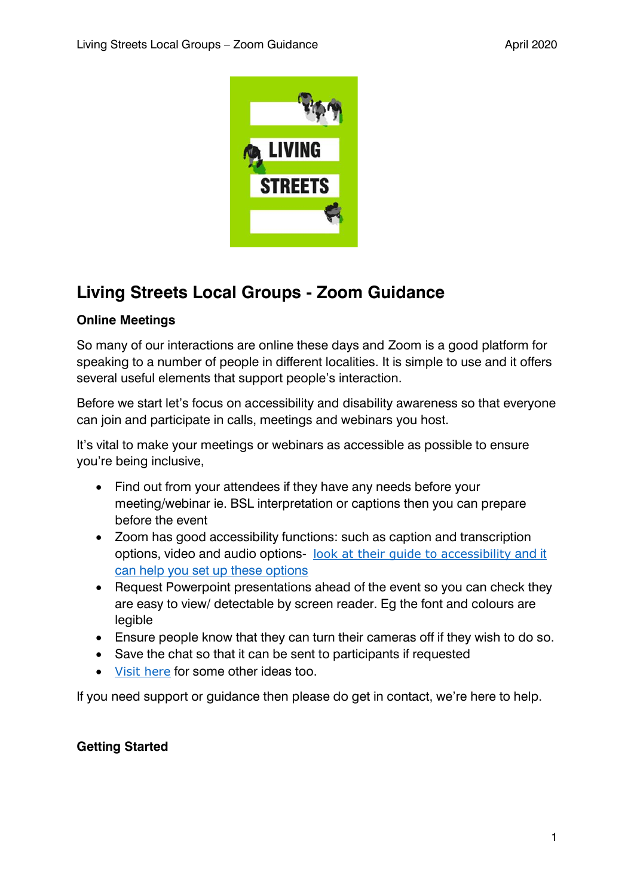

# **Living Streets Local Groups - Zoom Guidance**

## **Online Meetings**

So many of our interactions are online these days and Zoom is a good platform for speaking to a number of people in different localities. It is simple to use and it offers several useful elements that support people's interaction.

Before we start let's focus on accessibility and disability awareness so that everyone can join and participate in calls, meetings and webinars you host.

It's vital to make your meetings or webinars as accessible as possible to ensure you're being inclusive,

- Find out from your attendees if they have any needs before your meeting/webinar ie. BSL interpretation or captions then you can prepare before the event
- Zoom has good accessibility functions: such as caption and transcription options, video and audio options- [look at their guide to accessibility](https://explore.zoom.us/en/accessibility/) and it can help you set up these options
- Request Powerpoint presentations ahead of the event so you can check they are easy to view/ detectable by screen reader. Eg the font and colours are legible
- Ensure people know that they can turn their cameras off if they wish to do so.
- Save the chat so that it can be sent to participants if requested
- [Visit here](https://lsa.umich.edu/technology-services/remote-resources/best-practices-support-accessibility-zoom/accessibility-considerations-zoom.html) for some other ideas too.

If you need support or guidance then please do get in contact, we're here to help.

## **Getting Started**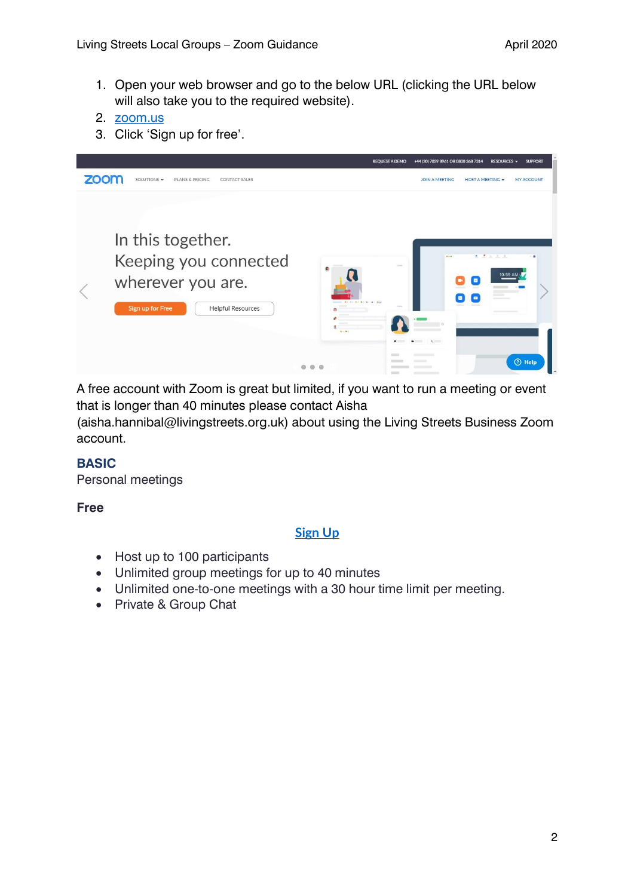1. Open your web browser and go to the below URL (clicking the URL below will also take you to the required website).

3. Click 'Sign up for free'.



A free account with Zoom is great but limited, if you want to run a meeting or event that is longer than 40 minutes please contact Aisha

(aisha.hannibal@livingstreets.org.uk) about using the Living Streets Business Zoom account.

### **BASIC**

Personal meetings

**Free**

### **[Sign Up](https://zoom.us/signup)**

- Host up to 100 participants
- Unlimited group meetings for up to 40 minutes
- Unlimited one-to-one meetings with a 30 hour time limit per meeting.
- Private & Group Chat

<sup>2.</sup> [zoom.us](https://zoom.us/)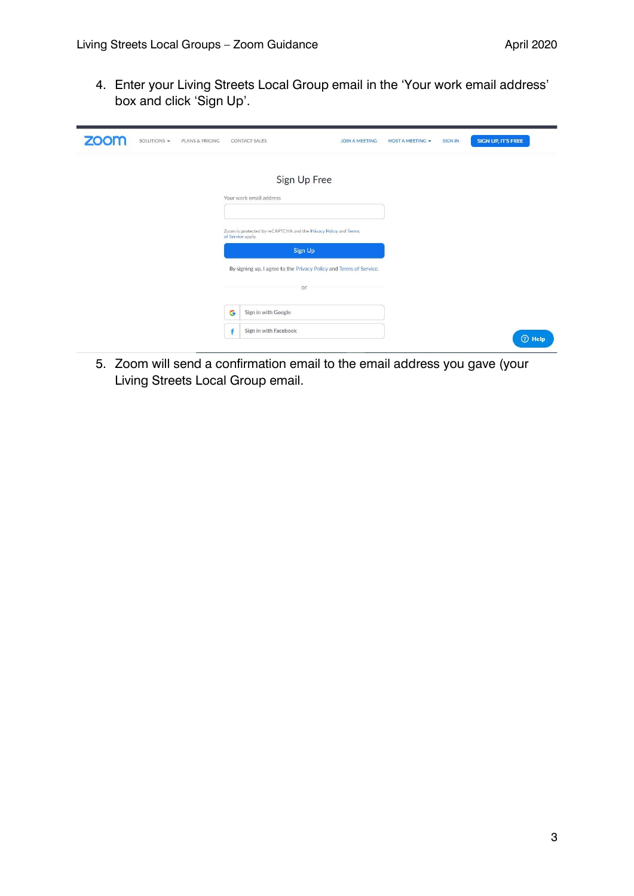4. Enter your Living Streets Local Group email in the 'Your work email address' box and click 'Sign Up'.

| <b>ZOOM</b><br>SOLUTIONS -<br>PLANS & PRICING | <b>CONTACT SALES</b>                                                                 | <b>JOIN A MEETING</b> | <b>HOST A MEETING +</b> | <b>SIGN IN</b> | <b>SIGN UP, IT'S FREE</b> |
|-----------------------------------------------|--------------------------------------------------------------------------------------|-----------------------|-------------------------|----------------|---------------------------|
|                                               | Sign Up Free                                                                         |                       |                         |                |                           |
|                                               | Your work email address                                                              |                       |                         |                |                           |
|                                               | Zoom is protected by reCAPTCHA and the Privacy Policy and Terms<br>of Service apply. |                       |                         |                |                           |
|                                               | Sign Up                                                                              |                       |                         |                |                           |
|                                               | By signing up, I agree to the Privacy Policy and Terms of Service.                   |                       |                         |                |                           |
|                                               | or                                                                                   |                       |                         |                |                           |
|                                               | G<br>Sign in with Google                                                             |                       |                         |                |                           |
|                                               | Sign in with Facebook<br>f                                                           |                       |                         |                | <b>2</b> Help             |

5. Zoom will send a confirmation email to the email address you gave (your Living Streets Local Group email.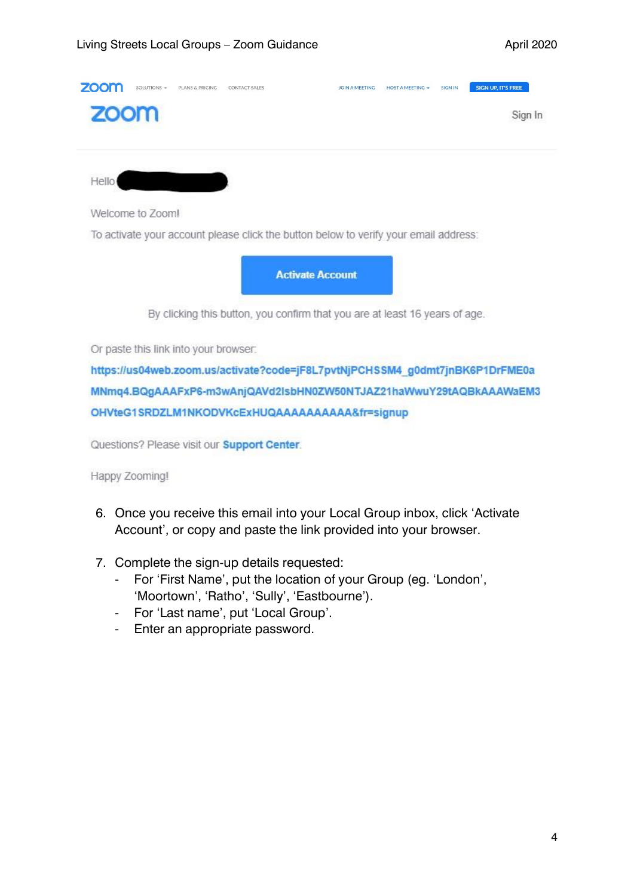| <b>ZOOF</b> | SOLUTIONS -      | PLANS & PRICING | CONTACT SALES |                                                                                      | <b>JOIN A MEETING</b> | HOST A MEETING $\div$ | <b>SIGN IN</b> | <b>SIGN UP. IT'S FREE</b> |
|-------------|------------------|-----------------|---------------|--------------------------------------------------------------------------------------|-----------------------|-----------------------|----------------|---------------------------|
| zoom        |                  |                 |               |                                                                                      |                       |                       |                | Sign In                   |
| Hello       |                  |                 |               |                                                                                      |                       |                       |                |                           |
|             | Welcome to Zoom! |                 |               |                                                                                      |                       |                       |                |                           |
|             |                  |                 |               | To activate your account please click the button below to verify your email address: |                       |                       |                |                           |
|             |                  |                 |               | <b>Activate Account</b>                                                              |                       |                       |                |                           |
|             |                  |                 |               | By clicking this button, you confirm that you are at least 16 years of age.          |                       |                       |                |                           |

Or paste this link into your browser.

https://us04web.zoom.us/activate?code=jF8L7pvtNjPCHSSM4\_g0dmt7jnBK6P1DrFME0a MNmq4.BQgAAAFxP6-m3wAnjQAVd2IsbHN0ZW50NTJAZ21haWwuY29tAQBkAAAWaEM3 OHVteG1SRDZLM1NKODVKcExHUQAAAAAAAAAA&fr=signup

Questions? Please visit our Support Center.

Happy Zooming!

- 6. Once you receive this email into your Local Group inbox, click 'Activate Account', or copy and paste the link provided into your browser.
- 7. Complete the sign-up details requested:
	- For 'First Name', put the location of your Group (eg. 'London', 'Moortown', 'Ratho', 'Sully', 'Eastbourne').
	- For 'Last name', put 'Local Group'.
	- Enter an appropriate password.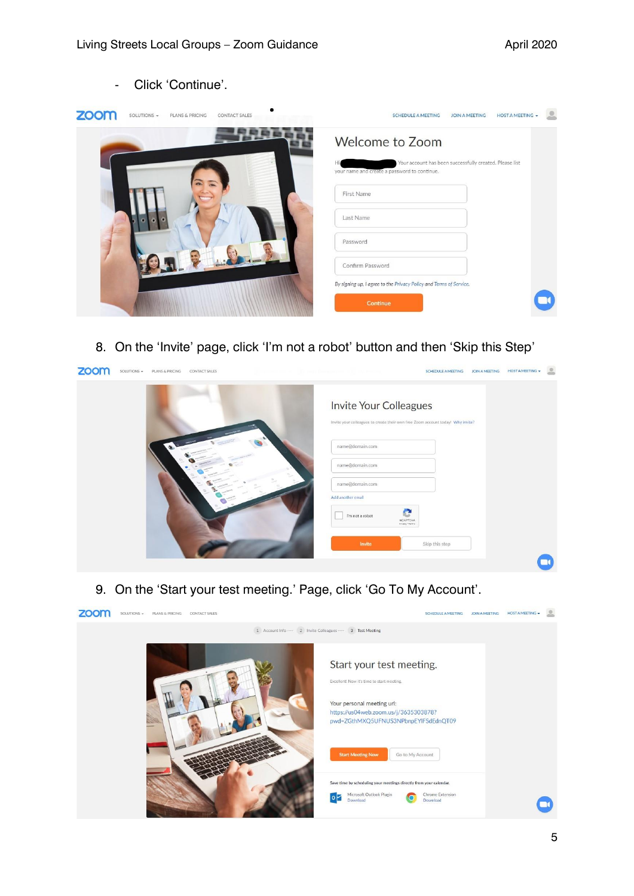- Click 'Continue'.

| zoom | SOLUTIONS - | PLANS & PRICING            | <b>CONTACT SALES</b> | <b>HOST A MEETING +</b><br><b>SCHEDULE A MEETING</b><br><b>JOIN A MEETING</b>                           |
|------|-------------|----------------------------|----------------------|---------------------------------------------------------------------------------------------------------|
|      |             |                            |                      | <b>Welcome to Zoom</b>                                                                                  |
|      |             |                            |                      | Your account has been successfully created. Please list<br>your name and create a password to continue. |
|      |             | <b>CD</b><br><b>Secure</b> |                      | First Name                                                                                              |
|      |             |                            |                      | Last Name                                                                                               |
|      |             |                            |                      | Password                                                                                                |
|      |             |                            |                      | Confirm Password                                                                                        |
|      |             |                            |                      | By signing up, I agree to the Privacy Policy and Terms of Service.                                      |
|      |             |                            |                      | Continue                                                                                                |

8. On the 'Invite' page, click 'I'm not a robot' button and then 'Skip this Step'

| zoom | SOLUTIONS - | PLANS & PRICING | CONTACT SALES   |  |                                      | <b>SCHEDULE A MEETING</b>                                                       | <b>JOIN A MEETING</b> | <b>HOST A MEETING -</b> | 으 |
|------|-------------|-----------------|-----------------|--|--------------------------------------|---------------------------------------------------------------------------------|-----------------------|-------------------------|---|
|      |             |                 |                 |  | Invite Your Colleagues               | Invite your colleagues to create their own free Zoom account today! Why invite? |                       |                         |   |
|      |             |                 | name@domain.com |  |                                      |                                                                                 |                       |                         |   |
|      |             |                 |                 |  | name@domain.com                      |                                                                                 |                       |                         |   |
|      |             |                 |                 |  | name@domain.com<br>Add another email |                                                                                 |                       |                         |   |
|      |             |                 |                 |  | I'm not a robot                      | e<br><b>reCAPTCHA</b><br>Privacy - Terms                                        |                       |                         |   |
|      |             |                 |                 |  | Invite                               | Skip this step                                                                  |                       |                         |   |
|      |             |                 |                 |  |                                      |                                                                                 |                       |                         |   |

9. On the 'Start your test meeting.' Page, click 'Go To My Account'.